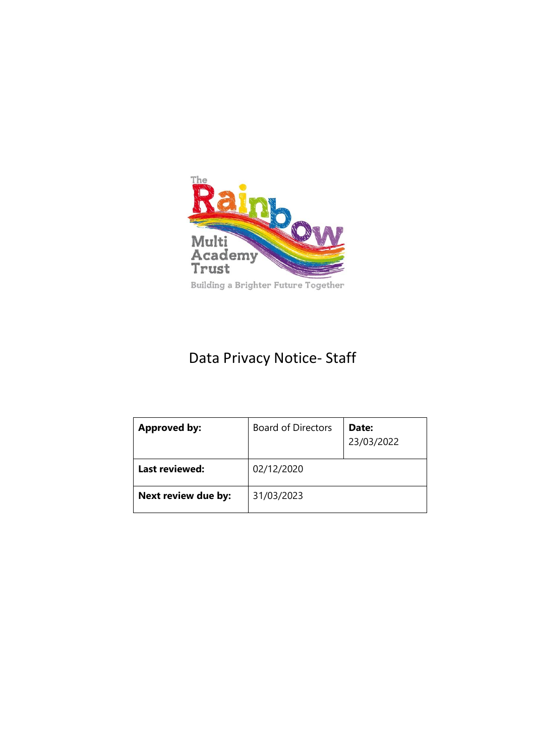

# Data Privacy Notice- Staff

| <b>Approved by:</b> | <b>Board of Directors</b> | Date:<br>23/03/2022 |
|---------------------|---------------------------|---------------------|
| Last reviewed:      | 02/12/2020                |                     |
| Next review due by: | 31/03/2023                |                     |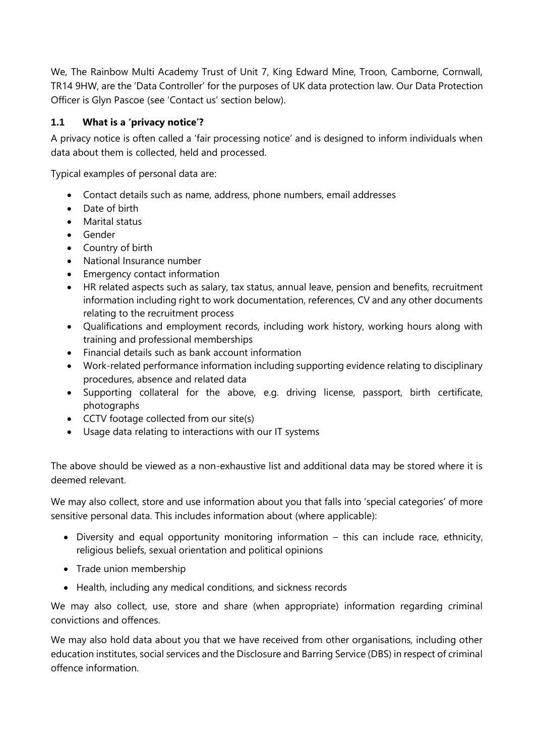We, The Rainbow Multi Academy Trust of Unit 7, King Edward Mine, Troon, Camborne, Cornwall, TR14 9HW, are the 'Data Controller' for the purposes of UK data protection law. Our Data Protection Officer is Glyn Pascoe (see 'Contact us' section below).

## **1.1 What is a 'privacy notice'?**

A privacy notice is often called a 'fair processing notice' and is designed to inform individuals when data about them is collected, held and processed.

Typical examples of personal data are:

- Contact details such as name, address, phone numbers, email addresses
- Date of birth
- Marital status
- Gender
- Country of birth
- National Insurance number
- Emergency contact information
- HR related aspects such as salary, tax status, annual leave, pension and benefits, recruitment information including right to work documentation, references, CV and any other documents relating to the recruitment process
- Qualifications and employment records, including work history, working hours along with training and professional memberships
- Financial details such as bank account information
- Work-related performance information including supporting evidence relating to disciplinary procedures, absence and related data
- Supporting collateral for the above, e.g. driving license, passport, birth certificate, photographs
- CCTV footage collected from our site(s)
- Usage data relating to interactions with our IT systems

The above should be viewed as a non-exhaustive list and additional data may be stored where it is deemed relevant.

We may also collect, store and use information about you that falls into 'special categories' of more sensitive personal data. This includes information about (where applicable):

- Diversity and equal opportunity monitoring information this can include race, ethnicity, religious beliefs, sexual orientation and political opinions
- Trade union membership
- Health, including any medical conditions, and sickness records

We may also collect, use, store and share (when appropriate) information regarding criminal convictions and offences.

We may also hold data about you that we have received from other organisations, including other education institutes, social services and the Disclosure and Barring Service (DBS) in respect of criminal offence information.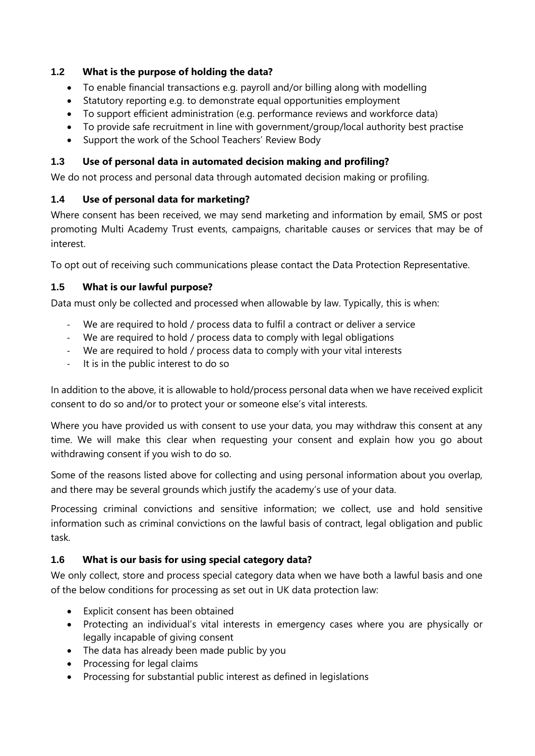#### **1.2 What is the purpose of holding the data?**

- To enable financial transactions e.g. payroll and/or billing along with modelling
- Statutory reporting e.g. to demonstrate equal opportunities employment
- To support efficient administration (e.g. performance reviews and workforce data)
- To provide safe recruitment in line with government/group/local authority best practise
- Support the work of the School Teachers' Review Body

## **1.3 Use of personal data in automated decision making and profiling?**

We do not process and personal data through automated decision making or profiling.

## **1.4 Use of personal data for marketing?**

Where consent has been received, we may send marketing and information by email, SMS or post promoting Multi Academy Trust events, campaigns, charitable causes or services that may be of interest.

To opt out of receiving such communications please contact the Data Protection Representative.

## **1.5 What is our lawful purpose?**

Data must only be collected and processed when allowable by law. Typically, this is when:

- We are required to hold / process data to fulfil a contract or deliver a service
- We are required to hold / process data to comply with legal obligations
- We are required to hold / process data to comply with your vital interests
- It is in the public interest to do so

In addition to the above, it is allowable to hold/process personal data when we have received explicit consent to do so and/or to protect your or someone else's vital interests.

Where you have provided us with consent to use your data, you may withdraw this consent at any time. We will make this clear when requesting your consent and explain how you go about withdrawing consent if you wish to do so.

Some of the reasons listed above for collecting and using personal information about you overlap, and there may be several grounds which justify the academy's use of your data.

Processing criminal convictions and sensitive information; we collect, use and hold sensitive information such as criminal convictions on the lawful basis of contract, legal obligation and public task.

# **1.6 What is our basis for using special category data?**

We only collect, store and process special category data when we have both a lawful basis and one of the below conditions for processing as set out in UK data protection law:

- Explicit consent has been obtained
- Protecting an individual's vital interests in emergency cases where you are physically or legally incapable of giving consent
- The data has already been made public by you
- Processing for legal claims
- Processing for substantial public interest as defined in legislations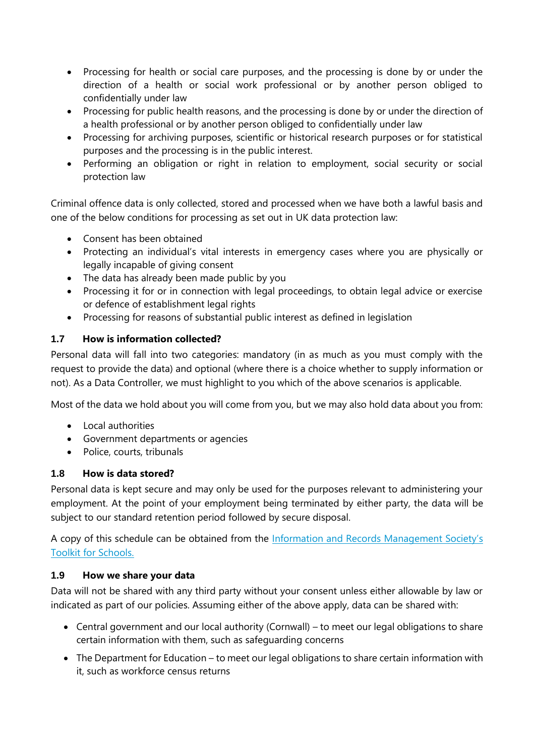- Processing for health or social care purposes, and the processing is done by or under the direction of a health or social work professional or by another person obliged to confidentially under law
- Processing for public health reasons, and the processing is done by or under the direction of a health professional or by another person obliged to confidentially under law
- Processing for archiving purposes, scientific or historical research purposes or for statistical purposes and the processing is in the public interest.
- Performing an obligation or right in relation to employment, social security or social protection law

Criminal offence data is only collected, stored and processed when we have both a lawful basis and one of the below conditions for processing as set out in UK data protection law:

- Consent has been obtained
- Protecting an individual's vital interests in emergency cases where you are physically or legally incapable of giving consent
- The data has already been made public by you
- Processing it for or in connection with legal proceedings, to obtain legal advice or exercise or defence of establishment legal rights
- Processing for reasons of substantial public interest as defined in legislation

# **1.7 How is information collected?**

Personal data will fall into two categories: mandatory (in as much as you must comply with the request to provide the data) and optional (where there is a choice whether to supply information or not). As a Data Controller, we must highlight to you which of the above scenarios is applicable.

Most of the data we hold about you will come from you, but we may also hold data about you from:

- Local authorities
- Government departments or agencies
- Police, courts, tribunals

## **1.8 How is data stored?**

Personal data is kept secure and may only be used for the purposes relevant to administering your employment. At the point of your employment being terminated by either party, the data will be subject to our standard retention period followed by secure disposal.

A copy of this schedule can be obtained from the [Information and Records Ma](http://irms.org.uk/?page=schoolstoolkit&terms=%22toolkit+and+schools%22)nagement Society's [Toolkit for Schools.](http://irms.org.uk/?page=schoolstoolkit&terms=%22toolkit+and+schools%22)

## **1.9 How we share your data**

Data will not be shared with any third party without your consent unless either allowable by law or indicated as part of our policies. Assuming either of the above apply, data can be shared with:

- Central government and our local authority (Cornwall) to meet our legal obligations to share certain information with them, such as safeguarding concerns
- The Department for Education to meet our legal obligations to share certain information with it, such as workforce census returns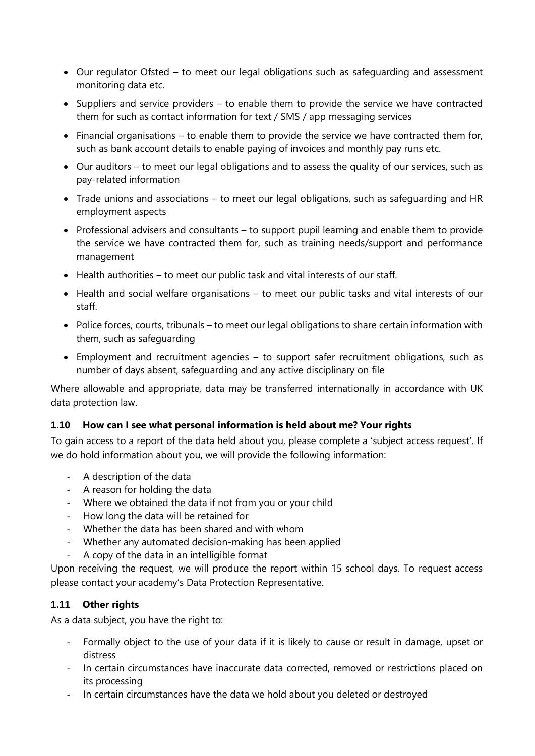- Our regulator Ofsted to meet our legal obligations such as safeguarding and assessment monitoring data etc.
- Suppliers and service providers to enable them to provide the service we have contracted them for such as contact information for text / SMS / app messaging services
- Financial organisations to enable them to provide the service we have contracted them for, such as bank account details to enable paying of invoices and monthly pay runs etc.
- Our auditors to meet our legal obligations and to assess the quality of our services, such as pay-related information
- Trade unions and associations to meet our legal obligations, such as safeguarding and HR employment aspects
- Professional advisers and consultants to support pupil learning and enable them to provide the service we have contracted them for, such as training needs/support and performance management
- Health authorities to meet our public task and vital interests of our staff.
- Health and social welfare organisations to meet our public tasks and vital interests of our staff.
- Police forces, courts, tribunals to meet our legal obligations to share certain information with them, such as safeguarding
- Employment and recruitment agencies to support safer recruitment obligations, such as number of days absent, safeguarding and any active disciplinary on file

Where allowable and appropriate, data may be transferred internationally in accordance with UK data protection law.

#### **1.10 How can I see what personal information is held about me? Your rights**

To gain access to a report of the data held about you, please complete a 'subject access request'. If we do hold information about you, we will provide the following information:

- A description of the data
- A reason for holding the data
- Where we obtained the data if not from you or your child
- How long the data will be retained for
- Whether the data has been shared and with whom
- Whether any automated decision-making has been applied
- A copy of the data in an intelligible format

Upon receiving the request, we will produce the report within 15 school days. To request access please contact your academy's Data Protection Representative.

## **1.11 Other rights**

As a data subject, you have the right to:

- Formally object to the use of your data if it is likely to cause or result in damage, upset or distress
- In certain circumstances have inaccurate data corrected, removed or restrictions placed on its processing
- In certain circumstances have the data we hold about you deleted or destroyed